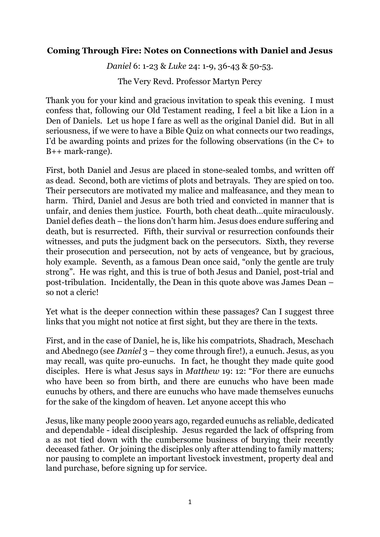## **Coming Through Fire: Notes on Connections with Daniel and Jesus**

*Daniel* 6: 1-23 & *Luke* 24: 1-9, 36-43 & 50-53.

The Very Revd. Professor Martyn Percy

Thank you for your kind and gracious invitation to speak this evening. I must confess that, following our Old Testament reading, I feel a bit like a Lion in a Den of Daniels. Let us hope I fare as well as the original Daniel did. But in all seriousness, if we were to have a Bible Quiz on what connects our two readings, I'd be awarding points and prizes for the following observations (in the C+ to B++ mark-range).

First, both Daniel and Jesus are placed in stone-sealed tombs, and written off as dead. Second, both are victims of plots and betrayals. They are spied on too. Their persecutors are motivated my malice and malfeasance, and they mean to harm. Third, Daniel and Jesus are both tried and convicted in manner that is unfair, and denies them justice. Fourth, both cheat death…quite miraculously. Daniel defies death – the lions don't harm him. Jesus does endure suffering and death, but is resurrected. Fifth, their survival or resurrection confounds their witnesses, and puts the judgment back on the persecutors. Sixth, they reverse their prosecution and persecution, not by acts of vengeance, but by gracious, holy example. Seventh, as a famous Dean once said, "only the gentle are truly strong". He was right, and this is true of both Jesus and Daniel, post-trial and post-tribulation. Incidentally, the Dean in this quote above was James Dean – so not a cleric!

Yet what is the deeper connection within these passages? Can I suggest three links that you might not notice at first sight, but they are there in the texts.

First, and in the case of Daniel, he is, like his compatriots, Shadrach, Meschach and Abednego (see *Daniel* 3 – they come through fire!), a eunuch. Jesus, as you may recall, was quite pro-eunuchs. In fact, he thought they made quite good disciples. Here is what Jesus says in *Matthew* 19: 12: "For there are eunuchs who have been so from birth, and there are eunuchs who have been made eunuchs by others, and there are eunuchs who have made themselves eunuchs for the sake of the kingdom of heaven. Let anyone accept this who

Jesus, like many people 2000 years ago, regarded eunuchs as reliable, dedicated and dependable - ideal discipleship. Jesus regarded the lack of offspring from a as not tied down with the cumbersome business of burying their recently deceased father. Or joining the disciples only after attending to family matters; nor pausing to complete an important livestock investment, property deal and land purchase, before signing up for service.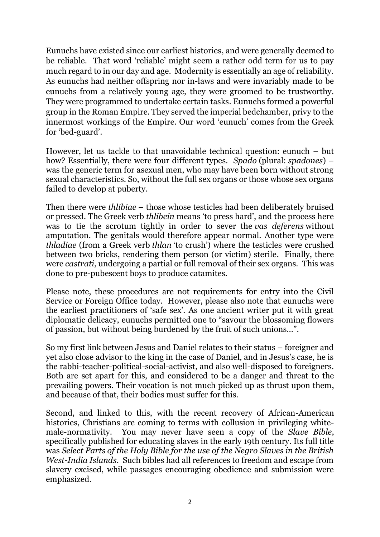Eunuchs have existed since our earliest histories, and were generally deemed to be reliable. That word 'reliable' might seem a rather odd term for us to pay much regard to in our day and age. Modernity is essentially an age of reliability. As eunuchs had neither offspring nor in-laws and were invariably made to be eunuchs from a relatively young age, they were groomed to be trustworthy. They were programmed to undertake certain tasks. Eunuchs formed a powerful group in the Roman Empire. They served the imperial bedchamber, privy to the innermost workings of the Empire. Our word 'eunuch' comes from the Greek for 'bed-guard'.

However, let us tackle to that unavoidable technical question: eunuch – but how? Essentially, there were four different types. *Spado* (plural: *spadones*) – was the generic term for asexual men, who may have been born without strong sexual characteristics. So, without the full sex organs or those whose sex organs failed to develop at puberty.

Then there were *thlibiae* – those whose testicles had been deliberately bruised or pressed. The Greek verb *thlibein* means 'to press hard', and the process here was to tie the scrotum tightly in order to sever the *vas deferens* without amputation. The genitals would therefore appear normal. Another type were *thladiae* (from a Greek verb *thlan* 'to crush') where the testicles were crushed between two bricks, rendering them person (or victim) sterile. Finally, there were *castrati*, undergoing a partial or full removal of their sex organs. This was done to pre-pubescent boys to produce catamites.

Please note, these procedures are not requirements for entry into the Civil Service or Foreign Office today. However, please also note that eunuchs were the earliest practitioners of 'safe sex'. As one ancient writer put it with great diplomatic delicacy, eunuchs permitted one to "savour the blossoming flowers of passion, but without being burdened by the fruit of such unions…".

So my first link between Jesus and Daniel relates to their status – foreigner and yet also close advisor to the king in the case of Daniel, and in Jesus's case, he is the rabbi-teacher-political-social-activist, and also well-disposed to foreigners. Both are set apart for this, and considered to be a danger and threat to the prevailing powers. Their vocation is not much picked up as thrust upon them, and because of that, their bodies must suffer for this.

Second, and linked to this, with the recent recovery of African-American histories, Christians are coming to terms with collusion in privileging whitemale-normativity. You may never have seen a copy of the *Slave Bible*, specifically published for educating [slaves](https://en.wikipedia.org/wiki/Slavery) in the early 19th century. Its full title was *Select Parts of the Holy Bible for the use of the Negro Slaves in the British West-India Islands*. Such bibles had all references to freedom and escape from slavery excised, while passages encouraging obedience and submission were emphasized.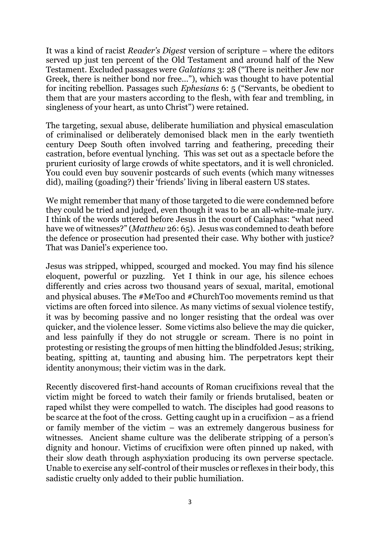It was a kind of racist *Reader's Digest* version of scripture – where the editors served up just ten percent of the [Old Testament](https://en.wikipedia.org/wiki/Old_Testament) and around half of the [New](https://en.wikipedia.org/wiki/New_Testament)  [Testament.](https://en.wikipedia.org/wiki/New_Testament) Excluded passages were *[Galatians](https://en.wikipedia.org/wiki/Galatians_3:28)* 3: 28 ("There is neither Jew nor Greek, there is neither bond nor free..."), which was thought to have potential for inciting rebellion. Passages such *[Ephesians](https://bible.oremus.org/?passage=Ephesians%206:5&version=nrsv)* 6: 5 ("Servants, be obedient to them that are your masters according to the flesh, with fear and trembling, in singleness of your heart, as unto Christ") were retained.

The targeting, sexual abuse, deliberate humiliation and physical emasculation of criminalised or deliberately demonised black men in the early twentieth century Deep South often involved tarring and feathering, preceding their castration, before eventual lynching. This was set out as a spectacle before the prurient curiosity of large crowds of white spectators, and it is well chronicled. You could even buy souvenir postcards of such events (which many witnesses did), mailing (goading?) their 'friends' living in liberal eastern US states.

We might remember that many of those targeted to die were condemned before they could be tried and judged, even though it was to be an all-white-male jury. I think of the words uttered before Jesus in the court of Caiaphas: "what need have we of witnesses?" (*Matthew* 26: 65). Jesus was condemned to death before the defence or prosecution had presented their case. Why bother with justice? That was Daniel's experience too.

Jesus was stripped, whipped, scourged and mocked. You may find his silence eloquent, powerful or puzzling. Yet I think in our age, his silence echoes differently and cries across two thousand years of sexual, marital, emotional and physical abuses. The #MeToo and #ChurchToo movements remind us that victims are often forced into silence. As many victims of sexual violence testify, it was by becoming passive and no longer resisting that the ordeal was over quicker, and the violence lesser. Some victims also believe the may die quicker, and less painfully if they do not struggle or scream. There is no point in protesting or resisting the groups of men hitting the blindfolded Jesus; striking, beating, spitting at, taunting and abusing him. The perpetrators kept their identity anonymous; their victim was in the dark.

Recently discovered first-hand accounts of Roman crucifixions reveal that the victim might be forced to watch their family or friends brutalised, beaten or raped whilst they were compelled to watch. The disciples had good reasons to be scarce at the foot of the cross. Getting caught up in a crucifixion – as a friend or family member of the victim – was an extremely dangerous business for witnesses. Ancient shame culture was the deliberate stripping of a person's dignity and honour. Victims of crucifixion were often pinned up naked, with their slow death through asphyxiation producing its own perverse spectacle. Unable to exercise any self-control of their muscles or reflexes in their body, this sadistic cruelty only added to their public humiliation.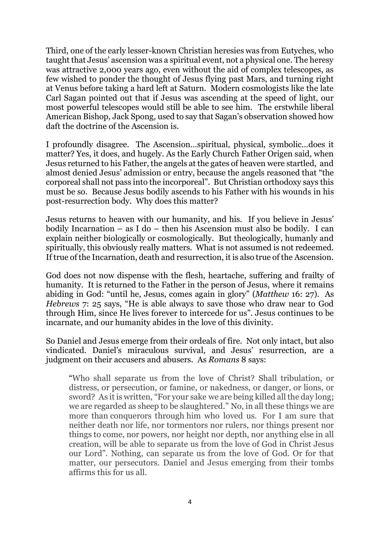Third, one of the early lesser-known Christian heresies was from Eutyches, who taught that Jesus' ascension was a spiritual event, not a physical one. The heresy was attractive 2,000 years ago, even without the aid of complex telescopes, as few wished to ponder the thought of Jesus flying past Mars, and turning right at Venus before taking a hard left at Saturn. Modern cosmologists like the late Carl Sagan pointed out that if Jesus was ascending at the speed of light, our most powerful telescopes would still be able to see him. The erstwhile liberal American Bishop, Jack Spong, used to say that Sagan's observation showed how daft the doctrine of the Ascension is.

I profoundly disagree. The Ascension…spiritual, physical, symbolic…does it matter? Yes, it does, and hugely. As the Early Church Father Origen said, when Jesus returned to his Father, the angels at the gates of heaven were startled, and almost denied Jesus' admission or entry, because the angels reasoned that "the corporeal shall not pass into the incorporeal". But Christian orthodoxy says this must be so. Because Jesus bodily ascends to his Father with his wounds in his post-resurrection body. Why does this matter?

Jesus returns to heaven with our humanity, and his. If you believe in Jesus' bodily Incarnation – as I do – then his Ascension must also be bodily. I can explain neither biologically or cosmologically. But theologically, humanly and spiritually, this obviously really matters. What is not assumed is not redeemed. If true of the Incarnation, death and resurrection, it is also true of the Ascension.

God does not now dispense with the flesh, heartache, suffering and frailty of humanity. It is returned to the Father in the person of Jesus, where it remains abiding in God: "until he, Jesus, comes again in glory" (*Matthew* 16: 27). As *Hebrews* 7: 25 says, "He is able always to save those who draw near to God through Him, since He lives forever to intercede for us". Jesus continues to be incarnate, and our humanity abides in the love of this divinity.

So Daniel and Jesus emerge from their ordeals of fire. Not only intact, but also vindicated. Daniel's miraculous survival, and Jesus' resurrection, are a judgment on their accusers and abusers. As *Romans* 8 says:

"Who shall separate us from the love of Christ? Shall tribulation, or distress, or persecution, or famine, or nakedness, or danger, or lions, or sword? As it is written, "For your sake we are being killed all the day long; we are regarded as sheep to be slaughtered." No, in all these things we are more than conquerors through him who loved us. For I am sure that neither death nor life, nor tormentors nor rulers, nor things present nor things to come, nor powers, nor height nor depth, nor anything else in all creation, will be able to separate us from the love of God in Christ Jesus our Lord". Nothing, can separate us from the love of God. Or for that matter, our persecutors. Daniel and Jesus emerging from their tombs affirms this for us all.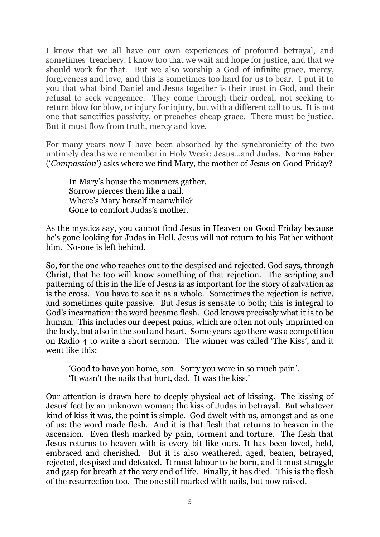I know that we all have our own experiences of profound betrayal, and sometimes treachery. I know too that we wait and hope for justice, and that we should work for that. But we also worship a God of infinite grace, mercy, forgiveness and love, and this is sometimes too hard for us to bear. I put it to you that what bind Daniel and Jesus together is their trust in God, and their refusal to seek vengeance. They come through their ordeal, not seeking to return blow for blow, or injury for injury, but with a different call to us. It is not one that sanctifies passivity, or preaches cheap grace. There must be justice. But it must flow from truth, mercy and love.

For many years now I have been absorbed by the synchronicity of the two untimely deaths we remember in Holy Week: Jesus…and Judas. Norma Faber ('*Compassion'*) asks where we find Mary, the mother of Jesus on Good Friday?

In Mary's house the mourners gather. Sorrow pierces them like a nail. Where's Mary herself meanwhile? Gone to comfort Judas's mother.

As the mystics say, you cannot find Jesus in Heaven on Good Friday because he's gone looking for Judas in Hell. Jesus will not return to his Father without him. No-one is left behind.

So, for the one who reaches out to the despised and rejected, God says, through Christ, that he too will know something of that rejection. The scripting and patterning of this in the life of Jesus is as important for the story of salvation as is the cross. You have to see it as a whole. Sometimes the rejection is active, and sometimes quite passive. But Jesus is sensate to both; this is integral to God's incarnation: the word became flesh. God knows precisely what it is to be human. This includes our deepest pains, which are often not only imprinted on the body, but also in the soul and heart. Some years ago there was a competition on Radio 4 to write a short sermon. The winner was called 'The Kiss', and it went like this:

'Good to have you home, son. Sorry you were in so much pain'. 'It wasn't the nails that hurt, dad. It was the kiss.'

Our attention is drawn here to deeply physical act of kissing. The kissing of Jesus' feet by an unknown woman; the kiss of Judas in betrayal. But whatever kind of kiss it was, the point is simple. God dwelt with us, amongst and as one of us: the word made flesh. And it is that flesh that returns to heaven in the ascension. Even flesh marked by pain, torment and torture. The flesh that Jesus returns to heaven with is every bit like ours. It has been loved, held, embraced and cherished. But it is also weathered, aged, beaten, betrayed, rejected, despised and defeated. It must labour to be born, and it must struggle and gasp for breath at the very end of life. Finally, it has died. This is the flesh of the resurrection too. The one still marked with nails, but now raised.